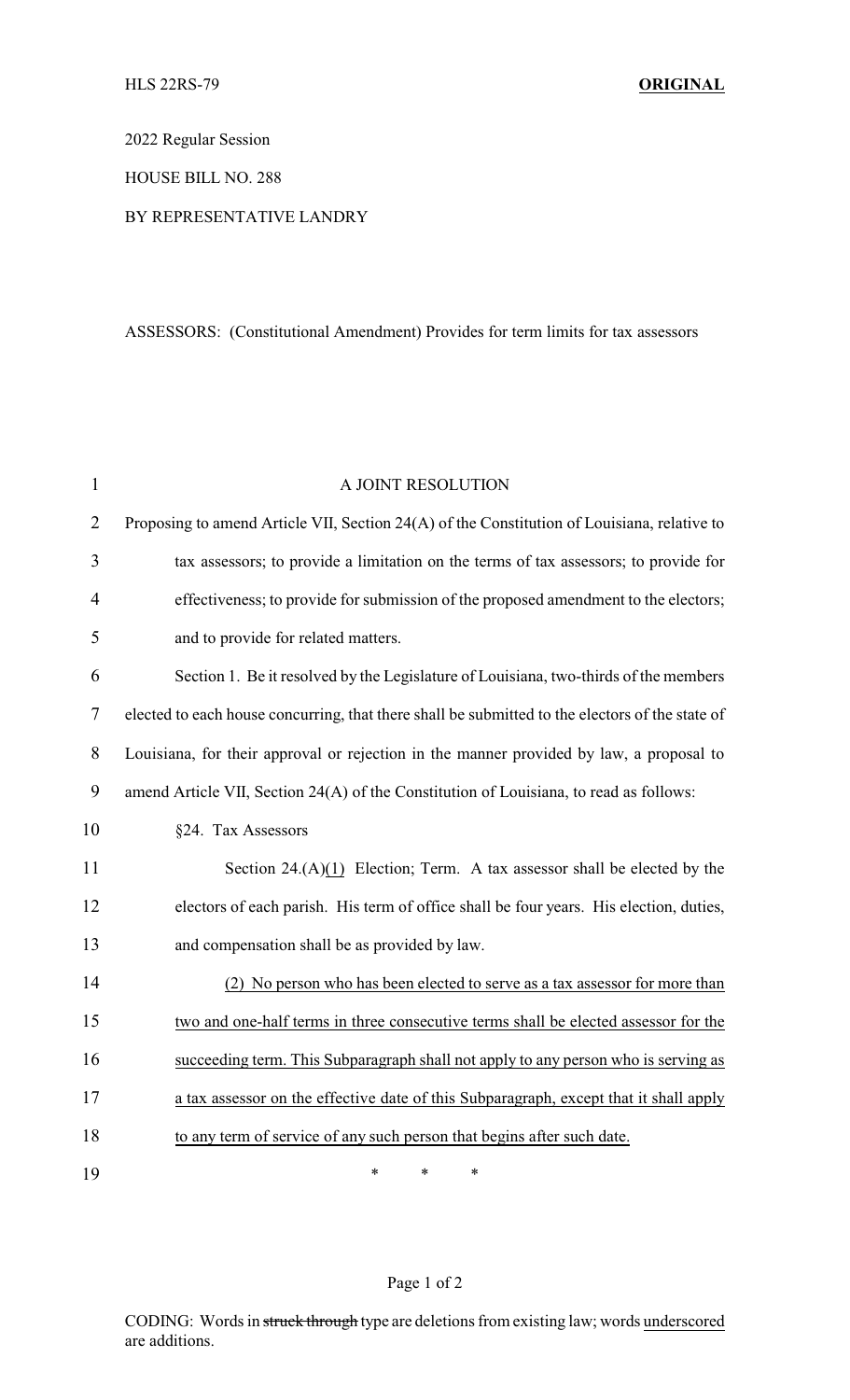2022 Regular Session

HOUSE BILL NO. 288

## BY REPRESENTATIVE LANDRY

## ASSESSORS: (Constitutional Amendment) Provides for term limits for tax assessors

| $\mathbf{1}$ | A JOINT RESOLUTION                                                                              |
|--------------|-------------------------------------------------------------------------------------------------|
| 2            | Proposing to amend Article VII, Section 24(A) of the Constitution of Louisiana, relative to     |
| 3            | tax assessors; to provide a limitation on the terms of tax assessors; to provide for            |
| 4            | effectiveness; to provide for submission of the proposed amendment to the electors;             |
| 5            | and to provide for related matters.                                                             |
| 6            | Section 1. Be it resolved by the Legislature of Louisiana, two-thirds of the members            |
| $\tau$       | elected to each house concurring, that there shall be submitted to the electors of the state of |
| 8            | Louisiana, for their approval or rejection in the manner provided by law, a proposal to         |
| 9            | amend Article VII, Section 24(A) of the Constitution of Louisiana, to read as follows:          |
| 10           | §24. Tax Assessors                                                                              |
| 11           | Section $24.(\mathrm{A})(1)$ Election; Term. A tax assessor shall be elected by the             |
| 12           | electors of each parish. His term of office shall be four years. His election, duties,          |
| 13           | and compensation shall be as provided by law.                                                   |
| 14           | (2) No person who has been elected to serve as a tax assessor for more than                     |
| 15           | two and one-half terms in three consecutive terms shall be elected assessor for the             |
| 16           | succeeding term. This Subparagraph shall not apply to any person who is serving as              |
| 17           | a tax assessor on the effective date of this Subparagraph, except that it shall apply           |
| 18           | to any term of service of any such person that begins after such date.                          |
| 19           | *<br>$\ast$<br>$\ast$                                                                           |

## Page 1 of 2

CODING: Words in struck through type are deletions from existing law; words underscored are additions.